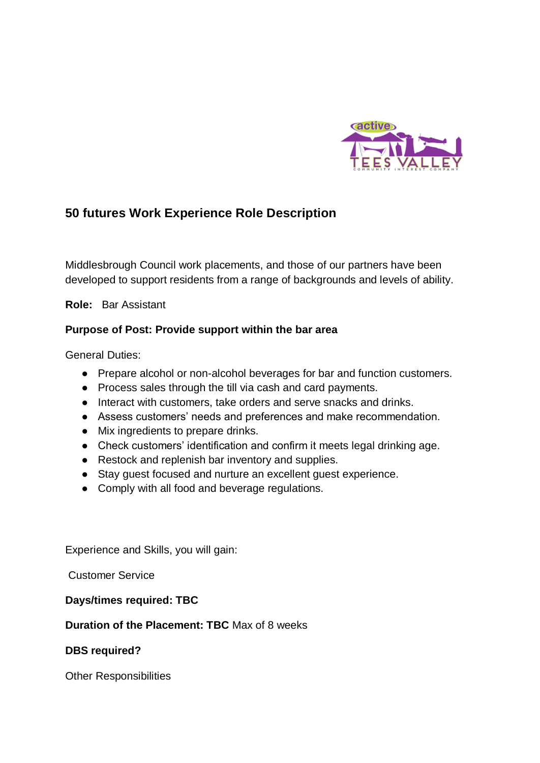

# **50 futures Work Experience Role Description**

Middlesbrough Council work placements, and those of our partners have been developed to support residents from a range of backgrounds and levels of ability.

**Role:** Bar Assistant

## **Purpose of Post: Provide support within the bar area**

General Duties:

- Prepare alcohol or non-alcohol beverages for bar and function customers.
- Process sales through the till via cash and card payments.
- Interact with customers, take orders and serve snacks and drinks.
- Assess customers' needs and preferences and make recommendation.
- Mix ingredients to prepare drinks.
- Check customers' identification and confirm it meets legal drinking age.
- Restock and replenish bar inventory and supplies.
- Stay guest focused and nurture an excellent guest experience.
- Comply with all food and beverage regulations.

Experience and Skills, you will gain:

Customer Service

## **Days/times required: TBC**

## **Duration of the Placement: TBC** Max of 8 weeks

## **DBS required?**

Other Responsibilities